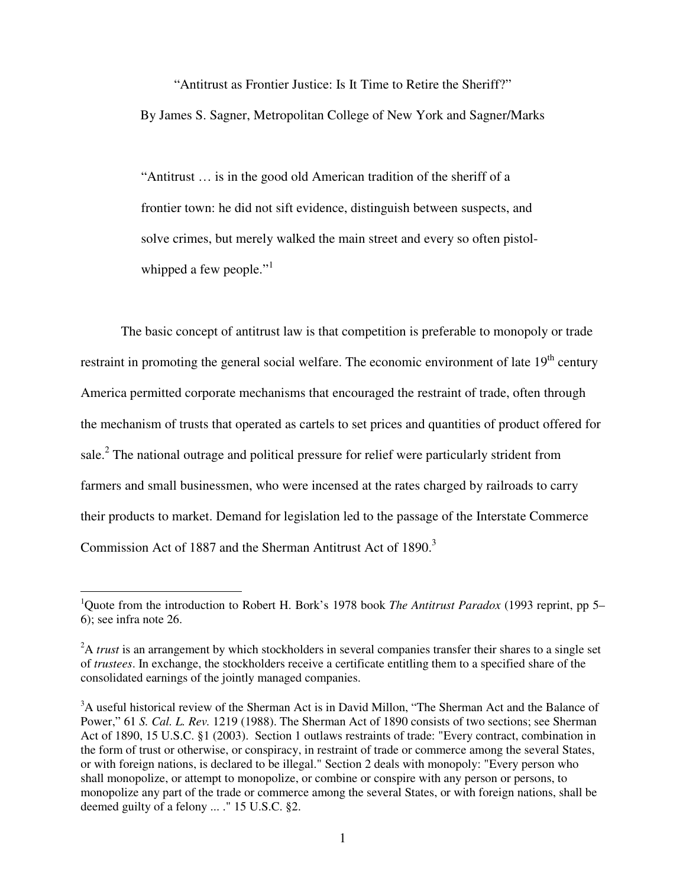"Antitrust as Frontier Justice: Is It Time to Retire the Sheriff?" By James S. Sagner, Metropolitan College of New York and Sagner/Marks

"Antitrust … is in the good old American tradition of the sheriff of a frontier town: he did not sift evidence, distinguish between suspects, and solve crimes, but merely walked the main street and every so often pistolwhipped a few people."<sup>1</sup>

The basic concept of antitrust law is that competition is preferable to monopoly or trade restraint in promoting the general social welfare. The economic environment of late  $19<sup>th</sup>$  century America permitted corporate mechanisms that encouraged the restraint of trade, often through the mechanism of trusts that operated as cartels to set prices and quantities of product offered for sale. $<sup>2</sup>$  The national outrage and political pressure for relief were particularly strident from</sup> farmers and small businessmen, who were incensed at the rates charged by railroads to carry their products to market. Demand for legislation led to the passage of the Interstate Commerce Commission Act of 1887 and the Sherman Antitrust Act of 1890.<sup>3</sup>

<sup>1</sup>Quote from the introduction to Robert H. Bork's 1978 book *The Antitrust Paradox* (1993 reprint, pp 5– 6); see infra note 26.

<sup>&</sup>lt;sup>2</sup>A *trust* is an arrangement by which stockholders in several companies transfer their shares to a single set of *trustees*. In exchange, the stockholders receive a certificate entitling them to a specified share of the consolidated earnings of the jointly managed companies.

<sup>&</sup>lt;sup>3</sup>A useful historical review of the Sherman Act is in David Millon, "The Sherman Act and the Balance of Power," 61 *S. Cal. L. Rev.* 1219 (1988). The Sherman Act of 1890 consists of two sections; see Sherman Act of 1890, 15 U.S.C. §1 (2003). Section 1 outlaws restraints of trade: "Every contract, combination in the form of trust or otherwise, or conspiracy, in restraint of trade or commerce among the several States, or with foreign nations, is declared to be illegal." Section 2 deals with monopoly: "Every person who shall monopolize, or attempt to monopolize, or combine or conspire with any person or persons, to monopolize any part of the trade or commerce among the several States, or with foreign nations, shall be deemed guilty of a felony ... ." 15 U.S.C. §2.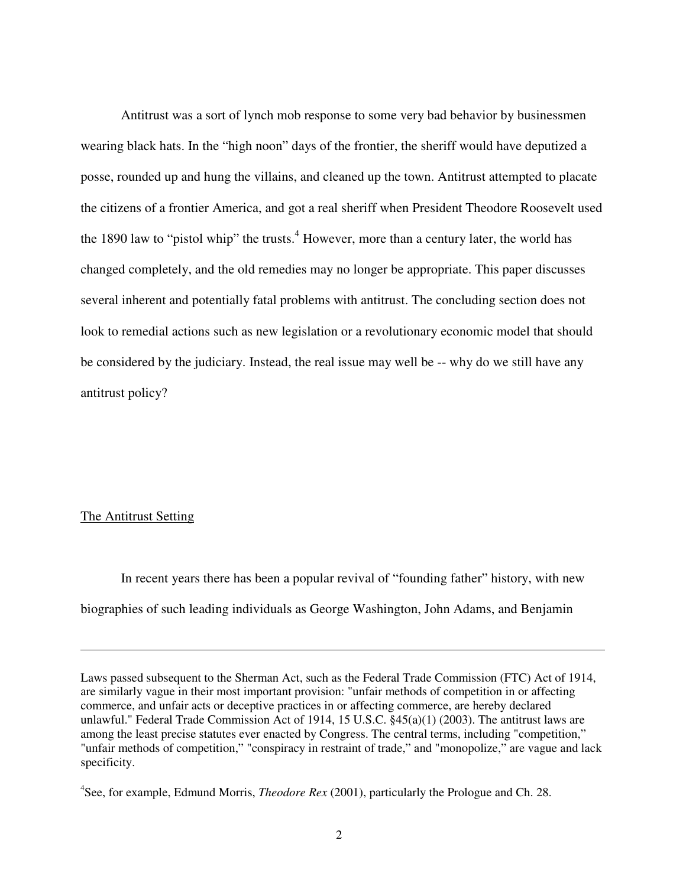Antitrust was a sort of lynch mob response to some very bad behavior by businessmen wearing black hats. In the "high noon" days of the frontier, the sheriff would have deputized a posse, rounded up and hung the villains, and cleaned up the town. Antitrust attempted to placate the citizens of a frontier America, and got a real sheriff when President Theodore Roosevelt used the 1890 law to "pistol whip" the trusts.<sup>4</sup> However, more than a century later, the world has changed completely, and the old remedies may no longer be appropriate. This paper discusses several inherent and potentially fatal problems with antitrust. The concluding section does not look to remedial actions such as new legislation or a revolutionary economic model that should be considered by the judiciary. Instead, the real issue may well be -- why do we still have any antitrust policy?

## The Antitrust Setting

 $\overline{a}$ 

In recent years there has been a popular revival of "founding father" history, with new biographies of such leading individuals as George Washington, John Adams, and Benjamin

Laws passed subsequent to the Sherman Act, such as the Federal Trade Commission (FTC) Act of 1914, are similarly vague in their most important provision: "unfair methods of competition in or affecting commerce, and unfair acts or deceptive practices in or affecting commerce, are hereby declared unlawful." Federal Trade Commission Act of 1914, 15 U.S.C. §45(a)(1) (2003). The antitrust laws are among the least precise statutes ever enacted by Congress. The central terms, including "competition," "unfair methods of competition," "conspiracy in restraint of trade," and "monopolize," are vague and lack specificity.

<sup>4</sup> See, for example, Edmund Morris, *Theodore Rex* (2001), particularly the Prologue and Ch. 28.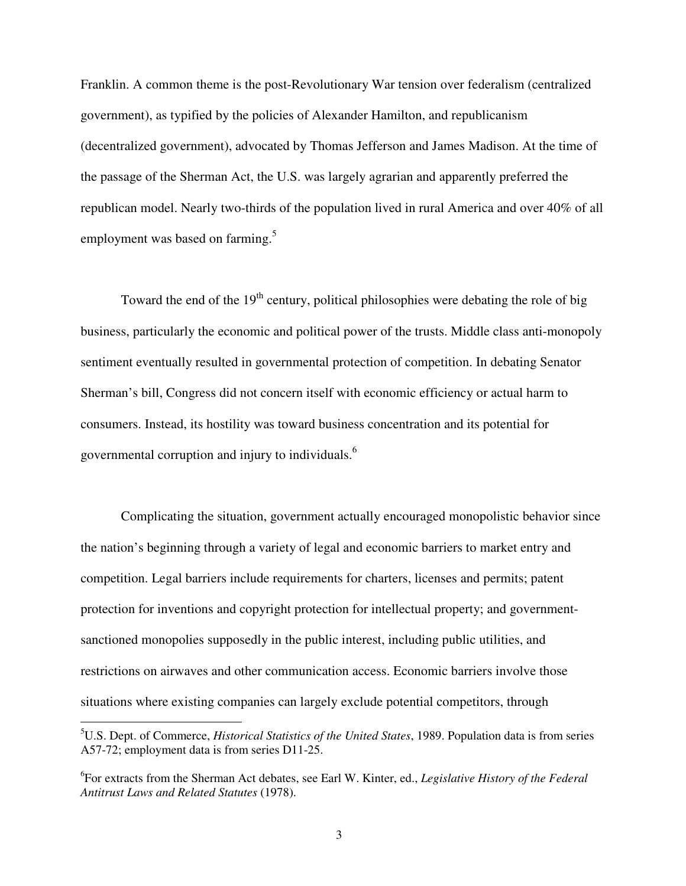Franklin. A common theme is the post-Revolutionary War tension over federalism (centralized government), as typified by the policies of Alexander Hamilton, and republicanism (decentralized government), advocated by Thomas Jefferson and James Madison. At the time of the passage of the Sherman Act, the U.S. was largely agrarian and apparently preferred the republican model. Nearly two-thirds of the population lived in rural America and over 40% of all employment was based on farming.<sup>5</sup>

Toward the end of the  $19<sup>th</sup>$  century, political philosophies were debating the role of big business, particularly the economic and political power of the trusts. Middle class anti-monopoly sentiment eventually resulted in governmental protection of competition. In debating Senator Sherman's bill, Congress did not concern itself with economic efficiency or actual harm to consumers. Instead, its hostility was toward business concentration and its potential for governmental corruption and injury to individuals.<sup>6</sup>

Complicating the situation, government actually encouraged monopolistic behavior since the nation's beginning through a variety of legal and economic barriers to market entry and competition. Legal barriers include requirements for charters, licenses and permits; patent protection for inventions and copyright protection for intellectual property; and governmentsanctioned monopolies supposedly in the public interest, including public utilities, and restrictions on airwaves and other communication access. Economic barriers involve those situations where existing companies can largely exclude potential competitors, through

<sup>5</sup>U.S. Dept. of Commerce, *Historical Statistics of the United States*, 1989. Population data is from series A57-72; employment data is from series D11-25.

<sup>6</sup> For extracts from the Sherman Act debates, see Earl W. Kinter, ed., *Legislative History of the Federal Antitrust Laws and Related Statutes* (1978).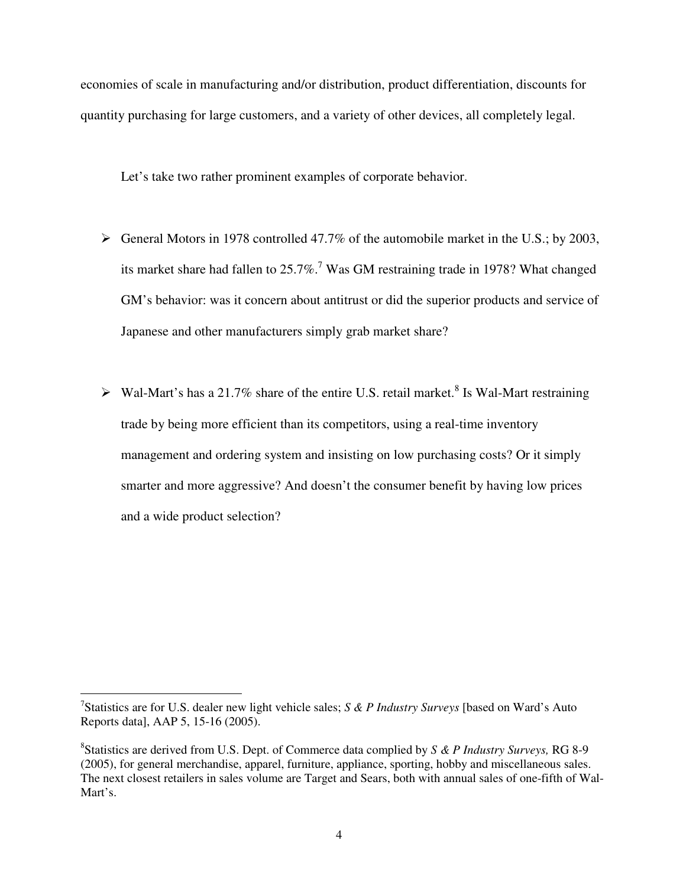economies of scale in manufacturing and/or distribution, product differentiation, discounts for quantity purchasing for large customers, and a variety of other devices, all completely legal.

Let's take two rather prominent examples of corporate behavior.

- $\triangleright$  General Motors in 1978 controlled 47.7% of the automobile market in the U.S.; by 2003, its market share had fallen to  $25.7\%$ .<sup>7</sup> Was GM restraining trade in 1978? What changed GM's behavior: was it concern about antitrust or did the superior products and service of Japanese and other manufacturers simply grab market share?
- $\triangleright$  Wal-Mart's has a 21.7% share of the entire U.S. retail market.<sup>8</sup> Is Wal-Mart restraining trade by being more efficient than its competitors, using a real-time inventory management and ordering system and insisting on low purchasing costs? Or it simply smarter and more aggressive? And doesn't the consumer benefit by having low prices and a wide product selection?

<sup>7</sup> Statistics are for U.S. dealer new light vehicle sales; *S & P Industry Surveys* [based on Ward's Auto Reports data], AAP 5, 15-16 (2005).

<sup>8</sup> Statistics are derived from U.S. Dept. of Commerce data complied by *S & P Industry Surveys,* RG 8-9 (2005), for general merchandise, apparel, furniture, appliance, sporting, hobby and miscellaneous sales. The next closest retailers in sales volume are Target and Sears, both with annual sales of one-fifth of Wal-Mart's.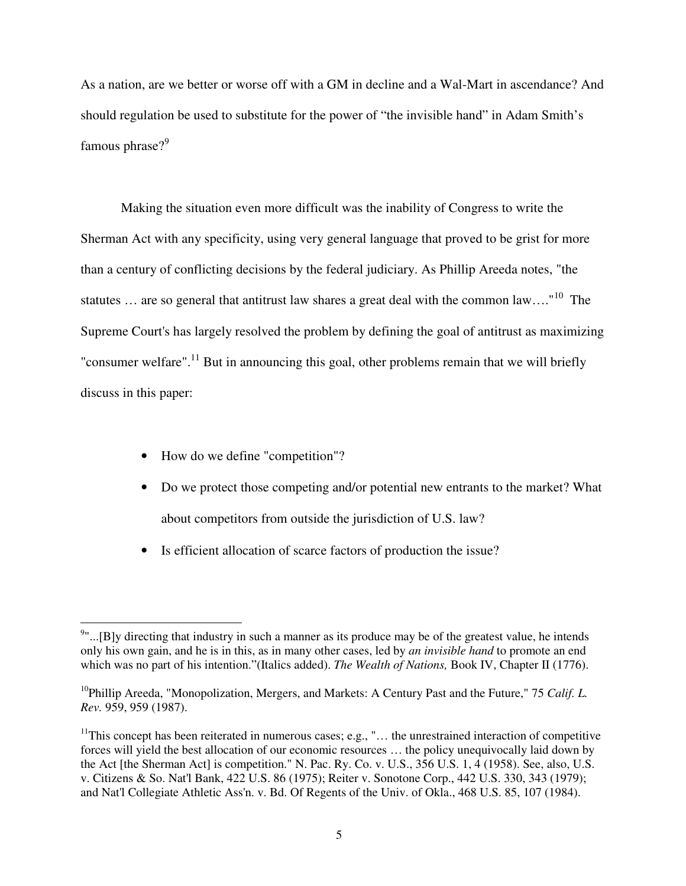As a nation, are we better or worse off with a GM in decline and a Wal-Mart in ascendance? And should regulation be used to substitute for the power of "the invisible hand" in Adam Smith's famous phrase?<sup>9</sup>

Making the situation even more difficult was the inability of Congress to write the Sherman Act with any specificity, using very general language that proved to be grist for more than a century of conflicting decisions by the federal judiciary. As Phillip Areeda notes, "the statutes ... are so general that antitrust law shares a great deal with the common law...."<sup>10</sup> The Supreme Court's has largely resolved the problem by defining the goal of antitrust as maximizing "consumer welfare".<sup>11</sup> But in announcing this goal, other problems remain that we will briefly discuss in this paper:

• How do we define "competition"?

- Do we protect those competing and/or potential new entrants to the market? What about competitors from outside the jurisdiction of U.S. law?
- Is efficient allocation of scarce factors of production the issue?

 $9"$ ...[B]y directing that industry in such a manner as its produce may be of the greatest value, he intends only his own gain, and he is in this, as in many other cases, led by *an invisible hand* to promote an end which was no part of his intention."(Italics added). *The Wealth of Nations*, Book IV, Chapter II (1776).

<sup>10</sup>Phillip Areeda, "Monopolization, Mergers, and Markets: A Century Past and the Future," 75 *Calif. L. Rev.* 959, 959 (1987).

 $11$ This concept has been reiterated in numerous cases; e.g., "... the unrestrained interaction of competitive forces will yield the best allocation of our economic resources … the policy unequivocally laid down by the Act [the Sherman Act] is competition." N. Pac. Ry. Co. v. U.S., 356 U.S. 1, 4 (1958). See, also, U.S. v. Citizens & So. Nat'l Bank, 422 U.S. 86 (1975); Reiter v. Sonotone Corp., 442 U.S. 330, 343 (1979); and Nat'l Collegiate Athletic Ass'n. v. Bd. Of Regents of the Univ. of Okla., 468 U.S. 85, 107 (1984).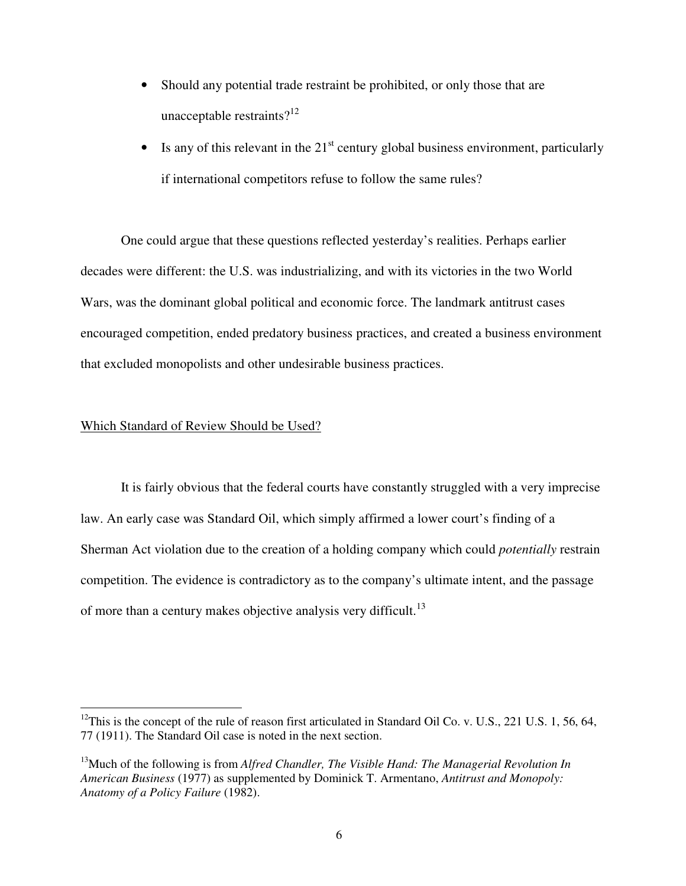- Should any potential trade restraint be prohibited, or only those that are unacceptable restraints? $12$
- Is any of this relevant in the  $21<sup>st</sup>$  century global business environment, particularly if international competitors refuse to follow the same rules?

One could argue that these questions reflected yesterday's realities. Perhaps earlier decades were different: the U.S. was industrializing, and with its victories in the two World Wars, was the dominant global political and economic force. The landmark antitrust cases encouraged competition, ended predatory business practices, and created a business environment that excluded monopolists and other undesirable business practices.

# Which Standard of Review Should be Used?

 $\overline{a}$ 

It is fairly obvious that the federal courts have constantly struggled with a very imprecise law. An early case was Standard Oil, which simply affirmed a lower court's finding of a Sherman Act violation due to the creation of a holding company which could *potentially* restrain competition. The evidence is contradictory as to the company's ultimate intent, and the passage of more than a century makes objective analysis very difficult.<sup>13</sup>

 $12$ This is the concept of the rule of reason first articulated in Standard Oil Co. v. U.S., 221 U.S. 1, 56, 64, 77 (1911). The Standard Oil case is noted in the next section.

<sup>13</sup>Much of the following is from *Alfred Chandler, The Visible Hand: The Managerial Revolution In American Business* (1977) as supplemented by Dominick T. Armentano, *Antitrust and Monopoly: Anatomy of a Policy Failure* (1982).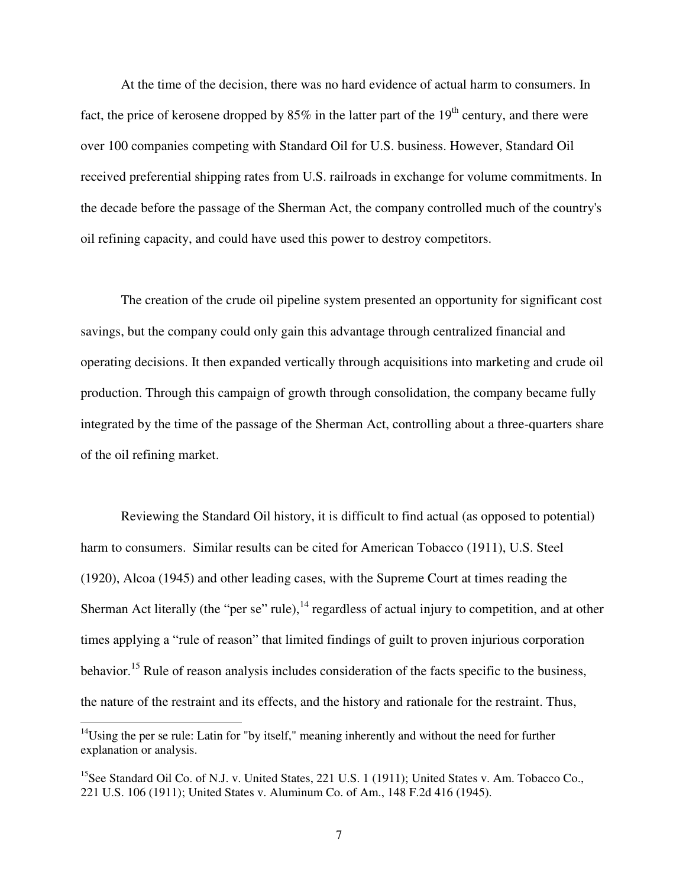At the time of the decision, there was no hard evidence of actual harm to consumers. In fact, the price of kerosene dropped by  $85\%$  in the latter part of the  $19<sup>th</sup>$  century, and there were over 100 companies competing with Standard Oil for U.S. business. However, Standard Oil received preferential shipping rates from U.S. railroads in exchange for volume commitments. In the decade before the passage of the Sherman Act, the company controlled much of the country's oil refining capacity, and could have used this power to destroy competitors.

The creation of the crude oil pipeline system presented an opportunity for significant cost savings, but the company could only gain this advantage through centralized financial and operating decisions. It then expanded vertically through acquisitions into marketing and crude oil production. Through this campaign of growth through consolidation, the company became fully integrated by the time of the passage of the Sherman Act, controlling about a three-quarters share of the oil refining market.

Reviewing the Standard Oil history, it is difficult to find actual (as opposed to potential) harm to consumers. Similar results can be cited for American Tobacco (1911), U.S. Steel (1920), Alcoa (1945) and other leading cases, with the Supreme Court at times reading the Sherman Act literally (the "per se" rule), $^{14}$  regardless of actual injury to competition, and at other times applying a "rule of reason" that limited findings of guilt to proven injurious corporation behavior.<sup>15</sup> Rule of reason analysis includes consideration of the facts specific to the business, the nature of the restraint and its effects, and the history and rationale for the restraint. Thus,

 $14$ Using the per se rule: Latin for "by itself," meaning inherently and without the need for further explanation or analysis.

<sup>&</sup>lt;sup>15</sup>See Standard Oil Co. of N.J. v. United States, 221 U.S. 1 (1911); United States v. Am. Tobacco Co., 221 U.S. 106 (1911); United States v. Aluminum Co. of Am., 148 F.2d 416 (1945).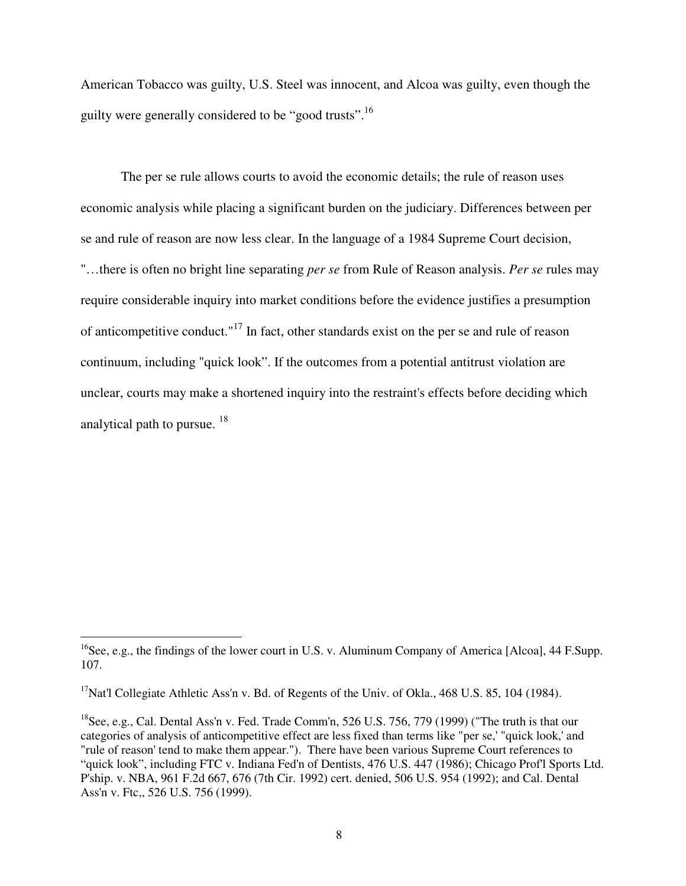American Tobacco was guilty, U.S. Steel was innocent, and Alcoa was guilty, even though the guilty were generally considered to be "good trusts".<sup>16</sup>

The per se rule allows courts to avoid the economic details; the rule of reason uses economic analysis while placing a significant burden on the judiciary. Differences between per se and rule of reason are now less clear. In the language of a 1984 Supreme Court decision, "…there is often no bright line separating *per se* from Rule of Reason analysis. *Per se* rules may require considerable inquiry into market conditions before the evidence justifies a presumption of anticompetitive conduct."<sup>17</sup> In fact, other standards exist on the per se and rule of reason continuum, including "quick look". If the outcomes from a potential antitrust violation are unclear, courts may make a shortened inquiry into the restraint's effects before deciding which analytical path to pursue.  $18$ 

<sup>&</sup>lt;sup>16</sup>See, e.g., the findings of the lower court in U.S. v. Aluminum Company of America [Alcoa], 44 F.Supp. 107.

<sup>&</sup>lt;sup>17</sup>Nat'l Collegiate Athletic Ass'n v. Bd. of Regents of the Univ. of Okla., 468 U.S. 85, 104 (1984).

<sup>&</sup>lt;sup>18</sup>See, e.g., Cal. Dental Ass'n v. Fed. Trade Comm'n, 526 U.S. 756, 779 (1999) ("The truth is that our categories of analysis of anticompetitive effect are less fixed than terms like "per se,' "quick look,' and "rule of reason' tend to make them appear."). There have been various Supreme Court references to "quick look", including FTC v. Indiana Fed'n of Dentists, 476 U.S. 447 (1986); Chicago Prof'l Sports Ltd. P'ship. v. NBA, 961 F.2d 667, 676 (7th Cir. 1992) cert. denied, 506 U.S. 954 (1992); and Cal. Dental Ass'n v. Ftc,, 526 U.S. 756 (1999).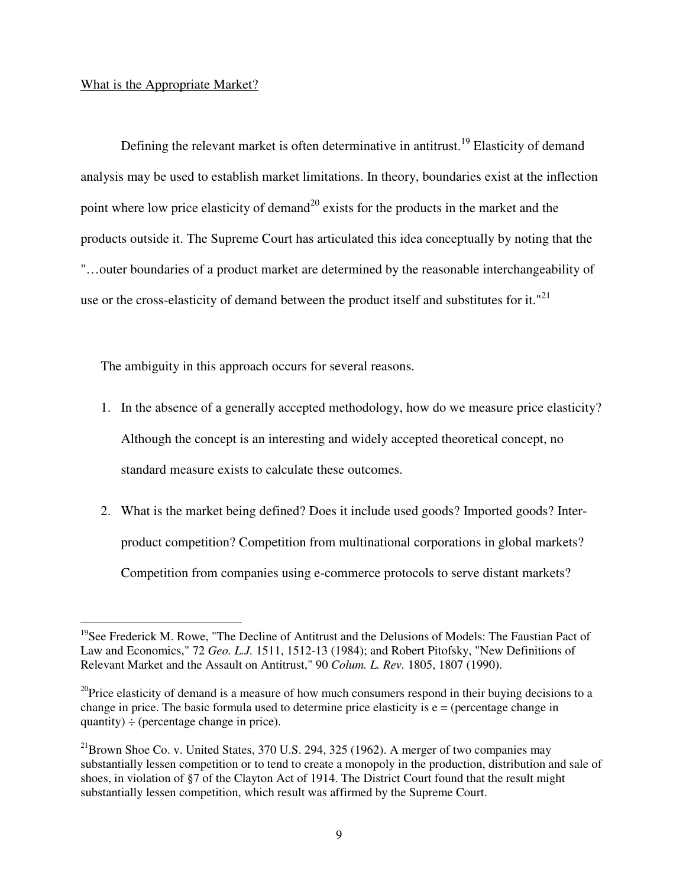# What is the Appropriate Market?

 $\overline{a}$ 

Defining the relevant market is often determinative in antitrust.<sup>19</sup> Elasticity of demand analysis may be used to establish market limitations. In theory, boundaries exist at the inflection point where low price elasticity of demand<sup>20</sup> exists for the products in the market and the products outside it. The Supreme Court has articulated this idea conceptually by noting that the "…outer boundaries of a product market are determined by the reasonable interchangeability of use or the cross-elasticity of demand between the product itself and substitutes for it."<sup>21</sup>

The ambiguity in this approach occurs for several reasons.

- 1. In the absence of a generally accepted methodology, how do we measure price elasticity? Although the concept is an interesting and widely accepted theoretical concept, no standard measure exists to calculate these outcomes.
- 2. What is the market being defined? Does it include used goods? Imported goods? Interproduct competition? Competition from multinational corporations in global markets? Competition from companies using e-commerce protocols to serve distant markets?

<sup>&</sup>lt;sup>19</sup>See Frederick M. Rowe, "The Decline of Antitrust and the Delusions of Models: The Faustian Pact of Law and Economics," 72 *Geo. L.J.* 1511, 1512-13 (1984); and Robert Pitofsky, "New Definitions of Relevant Market and the Assault on Antitrust," 90 *Colum. L. Rev.* 1805, 1807 (1990).

<sup>&</sup>lt;sup>20</sup>Price elasticity of demand is a measure of how much consumers respond in their buying decisions to a change in price. The basic formula used to determine price elasticity is  $e =$  (percentage change in quantity)  $\div$  (percentage change in price).

 $^{21}$ Brown Shoe Co. v. United States, 370 U.S. 294, 325 (1962). A merger of two companies may substantially lessen competition or to tend to create a monopoly in the production, distribution and sale of shoes, in violation of §7 of the Clayton Act of 1914. The District Court found that the result might substantially lessen competition, which result was affirmed by the Supreme Court.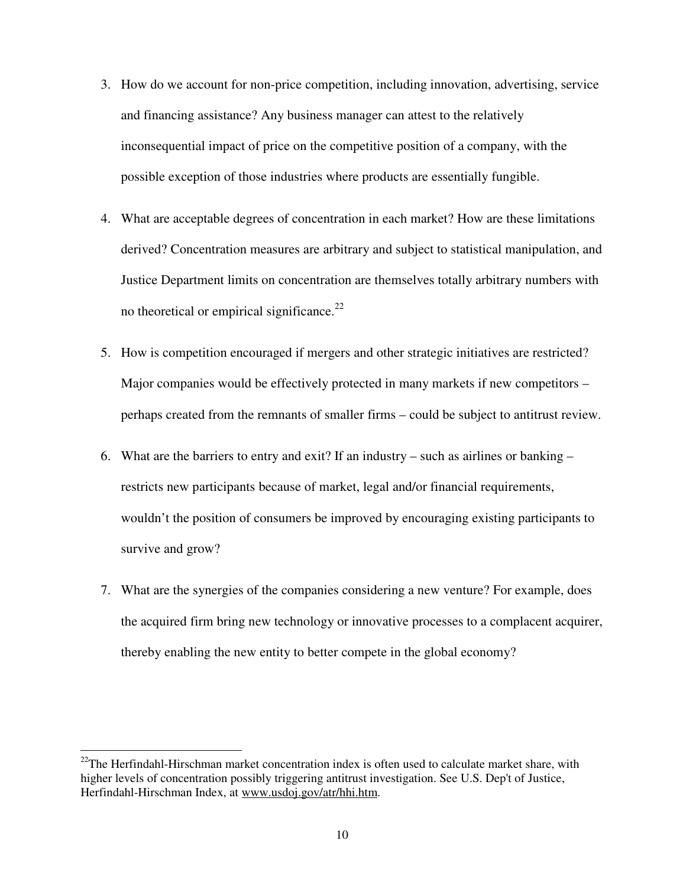- 3. How do we account for non-price competition, including innovation, advertising, service and financing assistance? Any business manager can attest to the relatively inconsequential impact of price on the competitive position of a company, with the possible exception of those industries where products are essentially fungible.
- 4. What are acceptable degrees of concentration in each market? How are these limitations derived? Concentration measures are arbitrary and subject to statistical manipulation, and Justice Department limits on concentration are themselves totally arbitrary numbers with no theoretical or empirical significance. $^{22}$
- 5. How is competition encouraged if mergers and other strategic initiatives are restricted? Major companies would be effectively protected in many markets if new competitors – perhaps created from the remnants of smaller firms – could be subject to antitrust review.
- 6. What are the barriers to entry and exit? If an industry such as airlines or banking restricts new participants because of market, legal and/or financial requirements, wouldn't the position of consumers be improved by encouraging existing participants to survive and grow?
- 7. What are the synergies of the companies considering a new venture? For example, does the acquired firm bring new technology or innovative processes to a complacent acquirer, thereby enabling the new entity to better compete in the global economy?

 $22$ The Herfindahl-Hirschman market concentration index is often used to calculate market share, with higher levels of concentration possibly triggering antitrust investigation. See U.S. Dep't of Justice, Herfindahl-Hirschman Index, at www.usdoj.gov/atr/hhi.htm.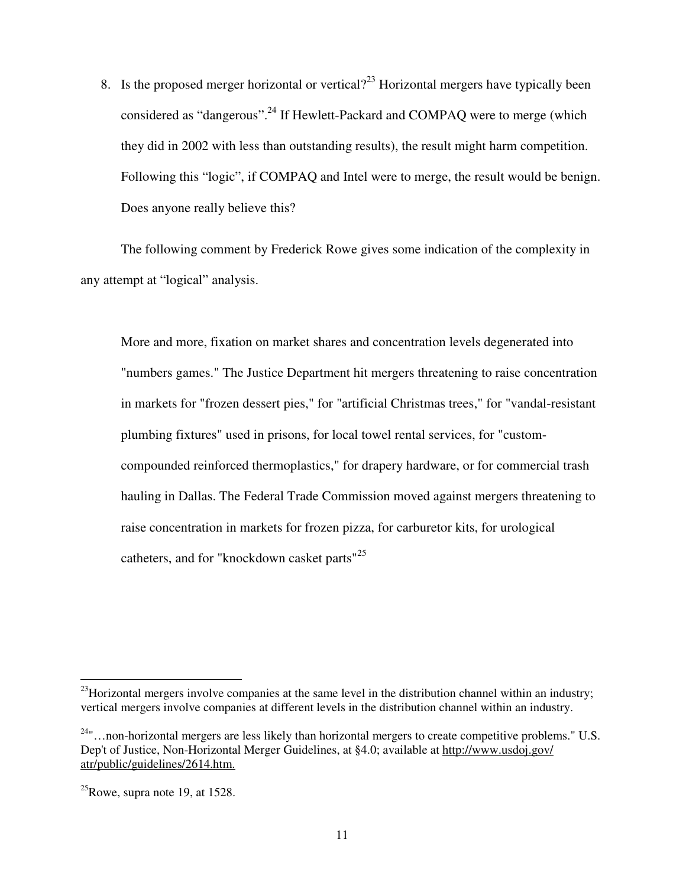8. Is the proposed merger horizontal or vertical?<sup>23</sup> Horizontal mergers have typically been considered as "dangerous".<sup>24</sup> If Hewlett-Packard and COMPAO were to merge (which they did in 2002 with less than outstanding results), the result might harm competition. Following this "logic", if COMPAQ and Intel were to merge, the result would be benign. Does anyone really believe this?

The following comment by Frederick Rowe gives some indication of the complexity in any attempt at "logical" analysis.

More and more, fixation on market shares and concentration levels degenerated into "numbers games." The Justice Department hit mergers threatening to raise concentration in markets for "frozen dessert pies," for "artificial Christmas trees," for "vandal-resistant plumbing fixtures" used in prisons, for local towel rental services, for "customcompounded reinforced thermoplastics," for drapery hardware, or for commercial trash hauling in Dallas. The Federal Trade Commission moved against mergers threatening to raise concentration in markets for frozen pizza, for carburetor kits, for urological catheters, and for "knockdown casket parts"<sup>25</sup>

 $^{23}$ Horizontal mergers involve companies at the same level in the distribution channel within an industry; vertical mergers involve companies at different levels in the distribution channel within an industry.

 $24$ "...non-horizontal mergers are less likely than horizontal mergers to create competitive problems." U.S. Dep't of Justice, Non-Horizontal Merger Guidelines, at §4.0; available at http://www.usdoj.gov/ atr/public/guidelines/2614.htm.

 $^{25}$ Rowe, supra note 19, at 1528.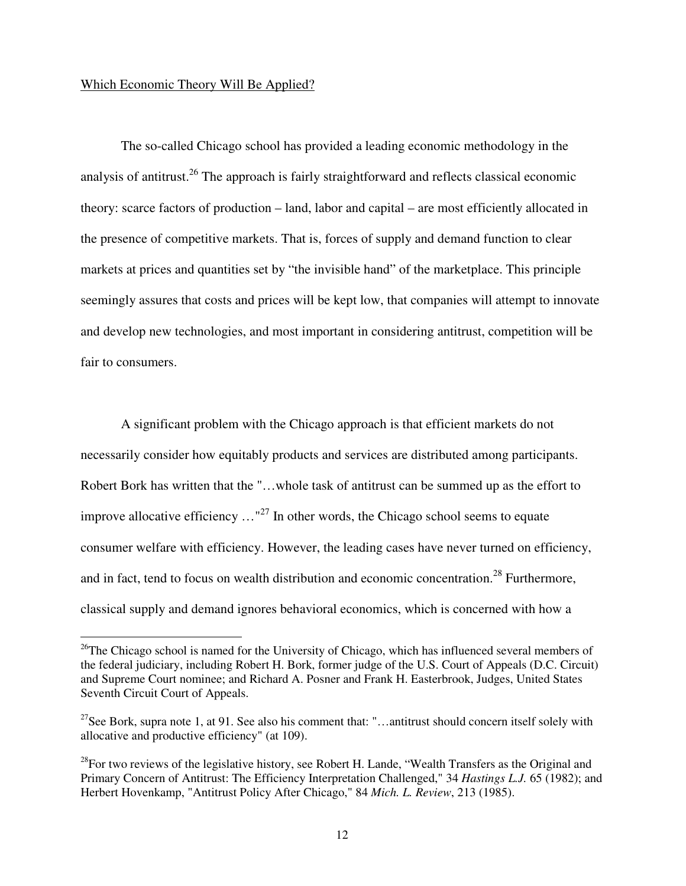#### Which Economic Theory Will Be Applied?

 $\overline{a}$ 

The so-called Chicago school has provided a leading economic methodology in the analysis of antitrust.<sup>26</sup> The approach is fairly straightforward and reflects classical economic theory: scarce factors of production – land, labor and capital – are most efficiently allocated in the presence of competitive markets. That is, forces of supply and demand function to clear markets at prices and quantities set by "the invisible hand" of the marketplace. This principle seemingly assures that costs and prices will be kept low, that companies will attempt to innovate and develop new technologies, and most important in considering antitrust, competition will be fair to consumers.

A significant problem with the Chicago approach is that efficient markets do not necessarily consider how equitably products and services are distributed among participants. Robert Bork has written that the "…whole task of antitrust can be summed up as the effort to improve allocative efficiency  $\ldots$ <sup>27</sup> In other words, the Chicago school seems to equate consumer welfare with efficiency. However, the leading cases have never turned on efficiency, and in fact, tend to focus on wealth distribution and economic concentration.<sup>28</sup> Furthermore, classical supply and demand ignores behavioral economics, which is concerned with how a

 $26$ The Chicago school is named for the University of Chicago, which has influenced several members of the federal judiciary, including Robert H. Bork, former judge of the U.S. Court of Appeals (D.C. Circuit) and Supreme Court nominee; and Richard A. Posner and Frank H. Easterbrook, Judges, United States Seventh Circuit Court of Appeals.

<sup>&</sup>lt;sup>27</sup>See Bork, supra note 1, at 91. See also his comment that: "...antitrust should concern itself solely with allocative and productive efficiency" (at 109).

 $^{28}$ For two reviews of the legislative history, see Robert H. Lande, "Wealth Transfers as the Original and Primary Concern of Antitrust: The Efficiency Interpretation Challenged," 34 *Hastings L.J.* 65 (1982); and Herbert Hovenkamp, "Antitrust Policy After Chicago," 84 *Mich. L. Review*, 213 (1985).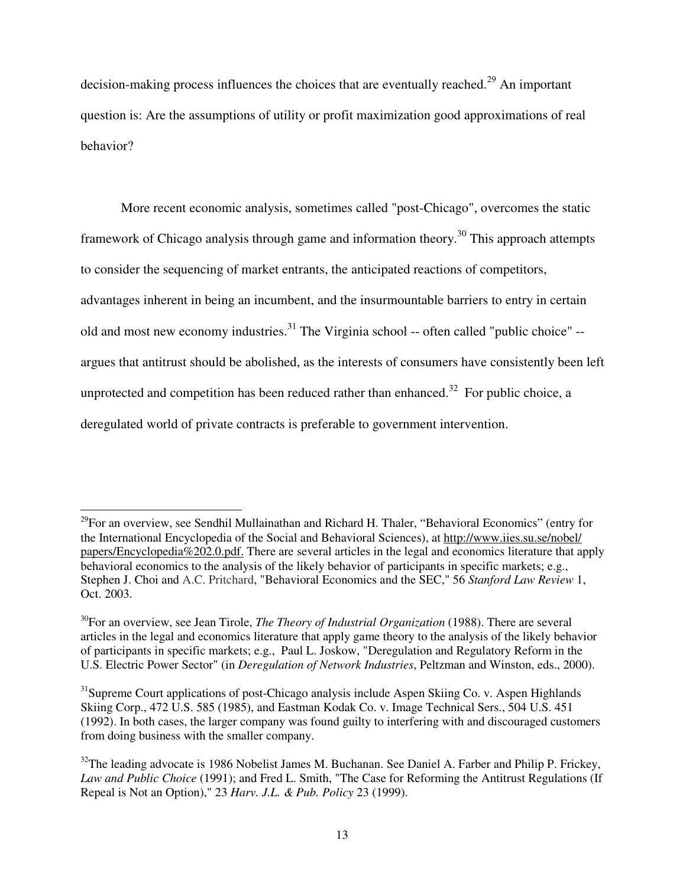decision-making process influences the choices that are eventually reached.<sup>29</sup> An important question is: Are the assumptions of utility or profit maximization good approximations of real behavior?

More recent economic analysis, sometimes called "post-Chicago", overcomes the static framework of Chicago analysis through game and information theory.<sup>30</sup> This approach attempts to consider the sequencing of market entrants, the anticipated reactions of competitors, advantages inherent in being an incumbent, and the insurmountable barriers to entry in certain old and most new economy industries.<sup>31</sup> The Virginia school -- often called "public choice" -argues that antitrust should be abolished, as the interests of consumers have consistently been left unprotected and competition has been reduced rather than enhanced.<sup>32</sup> For public choice, a deregulated world of private contracts is preferable to government intervention.

<sup>&</sup>lt;sup>29</sup>For an overview, see Sendhil Mullainathan and Richard H. Thaler, "Behavioral Economics" (entry for the International Encyclopedia of the Social and Behavioral Sciences), at http://www.iies.su.se/nobel/ papers/Encyclopedia%202.0.pdf. There are several articles in the legal and economics literature that apply behavioral economics to the analysis of the likely behavior of participants in specific markets; e.g., Stephen J. Choi and A.C. Pritchard, "Behavioral Economics and the SEC," 56 *Stanford Law Review* 1, Oct. 2003.

<sup>30</sup>For an overview, see Jean Tirole, *The Theory of Industrial Organization* (1988). There are several articles in the legal and economics literature that apply game theory to the analysis of the likely behavior of participants in specific markets; e.g., Paul L. Joskow, "Deregulation and Regulatory Reform in the U.S. Electric Power Sector" (in *Deregulation of Network Industries*, Peltzman and Winston, eds., 2000).

<sup>&</sup>lt;sup>31</sup>Supreme Court applications of post-Chicago analysis include Aspen Skiing Co. v. Aspen Highlands Skiing Corp., 472 U.S. 585 (1985), and Eastman Kodak Co. v. Image Technical Sers., 504 U.S. 451 (1992). In both cases, the larger company was found guilty to interfering with and discouraged customers from doing business with the smaller company.

<sup>&</sup>lt;sup>32</sup>The leading advocate is 1986 Nobelist James M. Buchanan. See Daniel A. Farber and Philip P. Frickey, *Law and Public Choice* (1991); and Fred L. Smith, "The Case for Reforming the Antitrust Regulations (If Repeal is Not an Option)," 23 *Harv. J.L. & Pub. Policy* 23 (1999).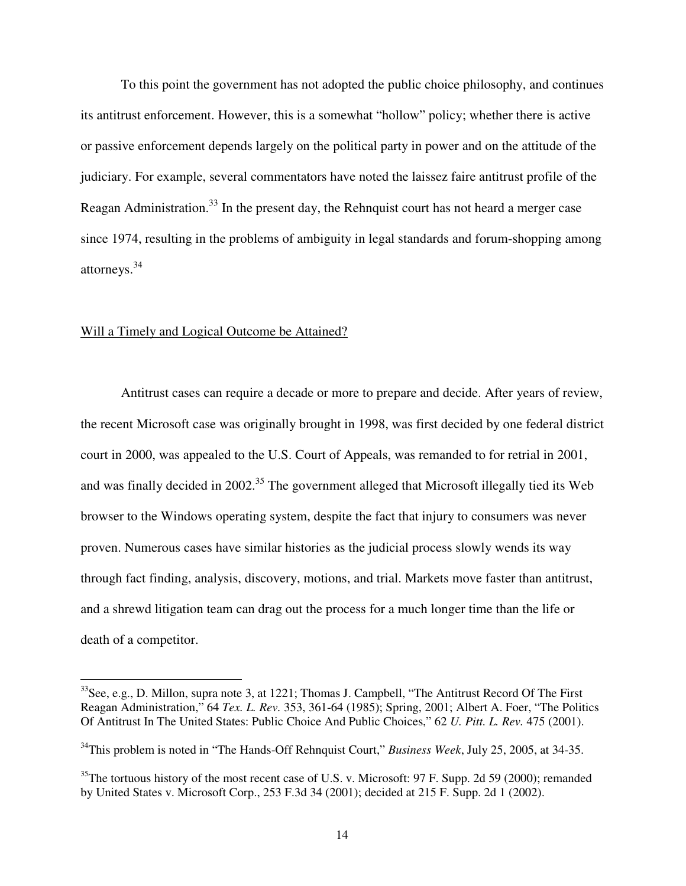To this point the government has not adopted the public choice philosophy, and continues its antitrust enforcement. However, this is a somewhat "hollow" policy; whether there is active or passive enforcement depends largely on the political party in power and on the attitude of the judiciary. For example, several commentators have noted the laissez faire antitrust profile of the Reagan Administration.<sup>33</sup> In the present day, the Rehnquist court has not heard a merger case since 1974, resulting in the problems of ambiguity in legal standards and forum-shopping among attorneys.<sup>34</sup>

### Will a Timely and Logical Outcome be Attained?

 $\overline{a}$ 

Antitrust cases can require a decade or more to prepare and decide. After years of review, the recent Microsoft case was originally brought in 1998, was first decided by one federal district court in 2000, was appealed to the U.S. Court of Appeals, was remanded to for retrial in 2001, and was finally decided in 2002.<sup>35</sup> The government alleged that Microsoft illegally tied its Web browser to the Windows operating system, despite the fact that injury to consumers was never proven. Numerous cases have similar histories as the judicial process slowly wends its way through fact finding, analysis, discovery, motions, and trial. Markets move faster than antitrust, and a shrewd litigation team can drag out the process for a much longer time than the life or death of a competitor.

 $33$ See, e.g., D. Millon, supra note 3, at 1221; Thomas J. Campbell, "The Antitrust Record Of The First Reagan Administration," 64 *Tex. L. Rev.* 353, 361-64 (1985); Spring, 2001; Albert A. Foer, "The Politics Of Antitrust In The United States: Public Choice And Public Choices," 62 *U. Pitt. L. Rev.* 475 (2001).

<sup>34</sup>This problem is noted in "The Hands-Off Rehnquist Court," *Business Week*, July 25, 2005, at 34-35.

 $35$ The tortuous history of the most recent case of U.S. v. Microsoft: 97 F. Supp. 2d 59 (2000); remanded by United States v. Microsoft Corp., 253 F.3d 34 (2001); decided at 215 F. Supp. 2d 1 (2002).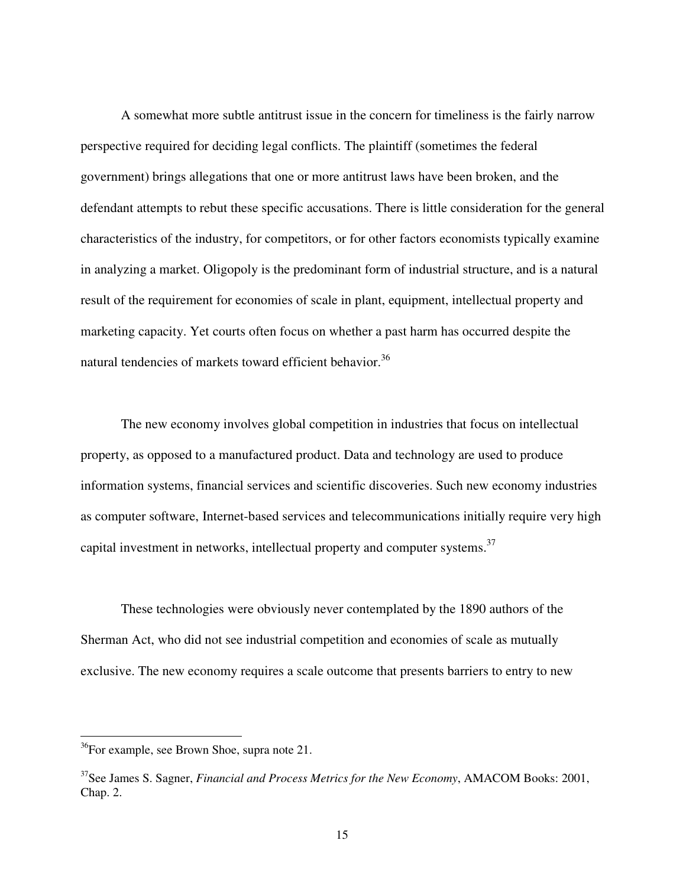A somewhat more subtle antitrust issue in the concern for timeliness is the fairly narrow perspective required for deciding legal conflicts. The plaintiff (sometimes the federal government) brings allegations that one or more antitrust laws have been broken, and the defendant attempts to rebut these specific accusations. There is little consideration for the general characteristics of the industry, for competitors, or for other factors economists typically examine in analyzing a market. Oligopoly is the predominant form of industrial structure, and is a natural result of the requirement for economies of scale in plant, equipment, intellectual property and marketing capacity. Yet courts often focus on whether a past harm has occurred despite the natural tendencies of markets toward efficient behavior.<sup>36</sup>

The new economy involves global competition in industries that focus on intellectual property, as opposed to a manufactured product. Data and technology are used to produce information systems, financial services and scientific discoveries. Such new economy industries as computer software, Internet-based services and telecommunications initially require very high capital investment in networks, intellectual property and computer systems.<sup>37</sup>

These technologies were obviously never contemplated by the 1890 authors of the Sherman Act, who did not see industrial competition and economies of scale as mutually exclusive. The new economy requires a scale outcome that presents barriers to entry to new

<sup>&</sup>lt;sup>36</sup>For example, see Brown Shoe, supra note 21.

<sup>37</sup>See James S. Sagner, *Financial and Process Metrics for the New Economy*, AMACOM Books: 2001, Chap. 2.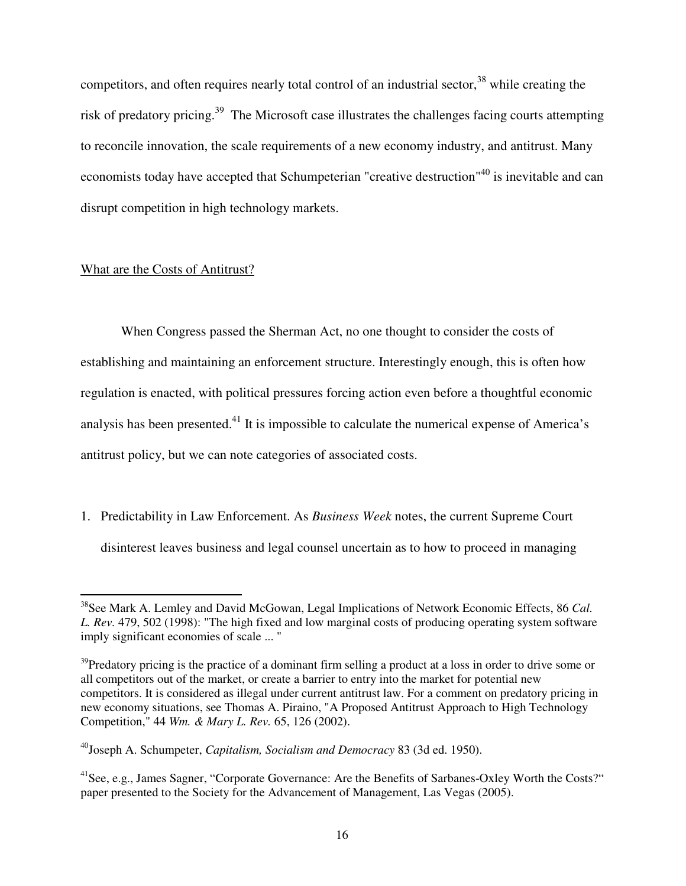competitors, and often requires nearly total control of an industrial sector, $38$  while creating the risk of predatory pricing.<sup>39</sup> The Microsoft case illustrates the challenges facing courts attempting to reconcile innovation, the scale requirements of a new economy industry, and antitrust. Many economists today have accepted that Schumpeterian "creative destruction"<sup>40</sup> is inevitable and can disrupt competition in high technology markets.

## What are the Costs of Antitrust?

 $\overline{a}$ 

 When Congress passed the Sherman Act, no one thought to consider the costs of establishing and maintaining an enforcement structure. Interestingly enough, this is often how regulation is enacted, with political pressures forcing action even before a thoughtful economic analysis has been presented.<sup>41</sup> It is impossible to calculate the numerical expense of America's antitrust policy, but we can note categories of associated costs.

1. Predictability in Law Enforcement. As *Business Week* notes, the current Supreme Court disinterest leaves business and legal counsel uncertain as to how to proceed in managing

<sup>38</sup>See Mark A. Lemley and David McGowan, Legal Implications of Network Economic Effects, 86 *Cal. L. Rev.* 479, 502 (1998): "The high fixed and low marginal costs of producing operating system software imply significant economies of scale ... "

 $39$ Predatory pricing is the practice of a dominant firm selling a product at a loss in order to drive some or all competitors out of the market, or create a barrier to entry into the market for potential new competitors. It is considered as illegal under current antitrust law. For a comment on predatory pricing in new economy situations, see Thomas A. Piraino, "A Proposed Antitrust Approach to High Technology Competition," 44 *Wm. & Mary L. Rev.* 65, 126 (2002).

<sup>40</sup>Joseph A. Schumpeter, *Capitalism, Socialism and Democracy* 83 (3d ed. 1950).

<sup>&</sup>lt;sup>41</sup>See, e.g., James Sagner, "Corporate Governance: Are the Benefits of Sarbanes-Oxley Worth the Costs?" paper presented to the Society for the Advancement of Management, Las Vegas (2005).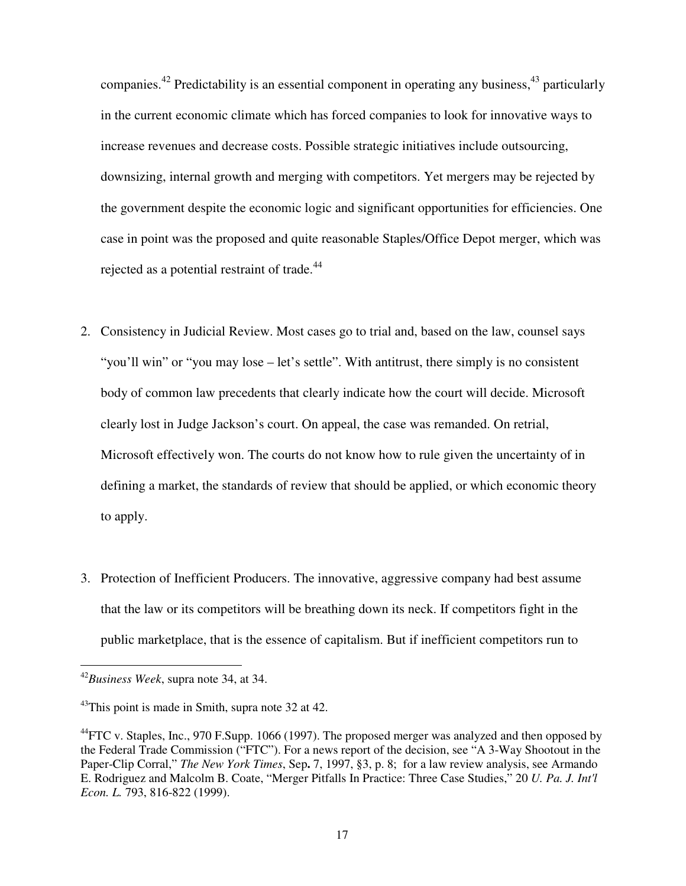companies.<sup>42</sup> Predictability is an essential component in operating any business,<sup>43</sup> particularly in the current economic climate which has forced companies to look for innovative ways to increase revenues and decrease costs. Possible strategic initiatives include outsourcing, downsizing, internal growth and merging with competitors. Yet mergers may be rejected by the government despite the economic logic and significant opportunities for efficiencies. One case in point was the proposed and quite reasonable Staples/Office Depot merger, which was rejected as a potential restraint of trade.<sup>44</sup>

- 2. Consistency in Judicial Review. Most cases go to trial and, based on the law, counsel says "you'll win" or "you may lose – let's settle". With antitrust, there simply is no consistent body of common law precedents that clearly indicate how the court will decide. Microsoft clearly lost in Judge Jackson's court. On appeal, the case was remanded. On retrial, Microsoft effectively won. The courts do not know how to rule given the uncertainty of in defining a market, the standards of review that should be applied, or which economic theory to apply.
- 3. Protection of Inefficient Producers. The innovative, aggressive company had best assume that the law or its competitors will be breathing down its neck. If competitors fight in the public marketplace, that is the essence of capitalism. But if inefficient competitors run to

<sup>42</sup>*Business Week*, supra note 34, at 34.

 $43$ This point is made in Smith, supra note 32 at 42.

 $^{44}$ FTC v. Staples, Inc., 970 F.Supp. 1066 (1997). The proposed merger was analyzed and then opposed by the Federal Trade Commission ("FTC"). For a news report of the decision, see "A 3-Way Shootout in the Paper-Clip Corral," *The New York Times*, Sep**.** 7, 1997, §3, p. 8; for a law review analysis, see Armando E. Rodriguez and Malcolm B. Coate, "Merger Pitfalls In Practice: Three Case Studies," 20 *U. Pa. J. Int'l Econ. L.* 793, 816-822 (1999).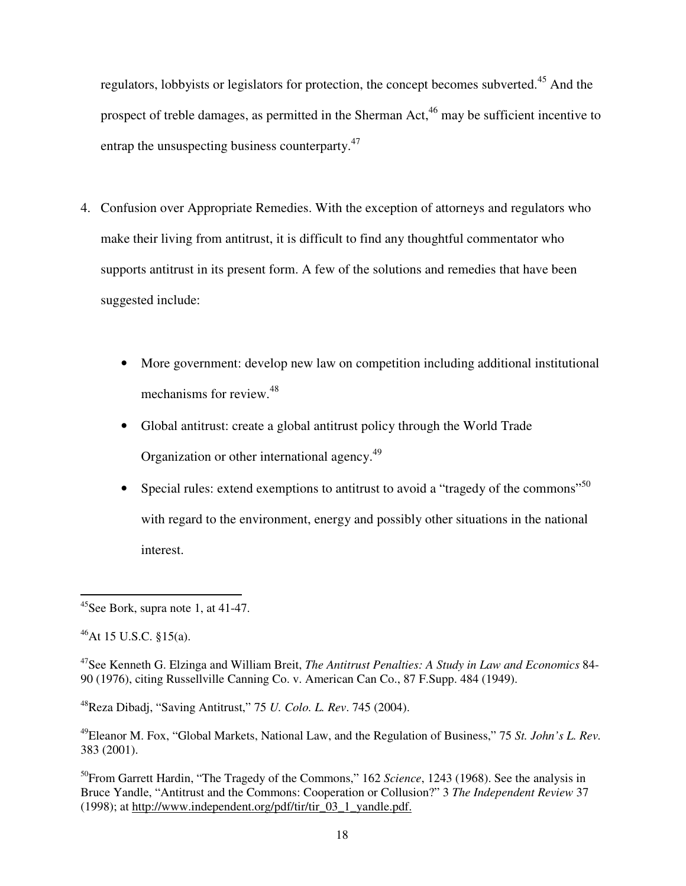regulators, lobbyists or legislators for protection, the concept becomes subverted.<sup>45</sup> And the prospect of treble damages, as permitted in the Sherman Act,  $46$  may be sufficient incentive to entrap the unsuspecting business counterparty.<sup>47</sup>

- 4. Confusion over Appropriate Remedies. With the exception of attorneys and regulators who make their living from antitrust, it is difficult to find any thoughtful commentator who supports antitrust in its present form. A few of the solutions and remedies that have been suggested include:
	- More government: develop new law on competition including additional institutional mechanisms for review.<sup>48</sup>
	- Global antitrust: create a global antitrust policy through the World Trade Organization or other international agency.<sup>49</sup>
	- Special rules: extend exemptions to antitrust to avoid a "tragedy of the commons"<sup>50</sup> with regard to the environment, energy and possibly other situations in the national interest.

<sup>48</sup>Reza Dibadj, "Saving Antitrust," 75 *U. Colo. L. Rev*. 745 (2004).

 $\overline{a}$  $45$ See Bork, supra note 1, at 41-47.

 $^{46}$ At 15 U.S.C. §15(a).

<sup>47</sup>See Kenneth G. Elzinga and William Breit, *The Antitrust Penalties: A Study in Law and Economics* 84- 90 (1976), citing Russellville Canning Co. v. American Can Co., 87 F.Supp. 484 (1949).

<sup>49</sup>Eleanor M. Fox, "Global Markets, National Law, and the Regulation of Business," 75 *St. John's L. Rev.*  383 (2001).

<sup>50</sup>From Garrett Hardin, "The Tragedy of the Commons," 162 *Science*, 1243 (1968). See the analysis in Bruce Yandle, "Antitrust and the Commons: Cooperation or Collusion?" 3 *The Independent Review* 37 (1998); at http://www.independent.org/pdf/tir/tir $\overline{03}$  1 yandle.pdf.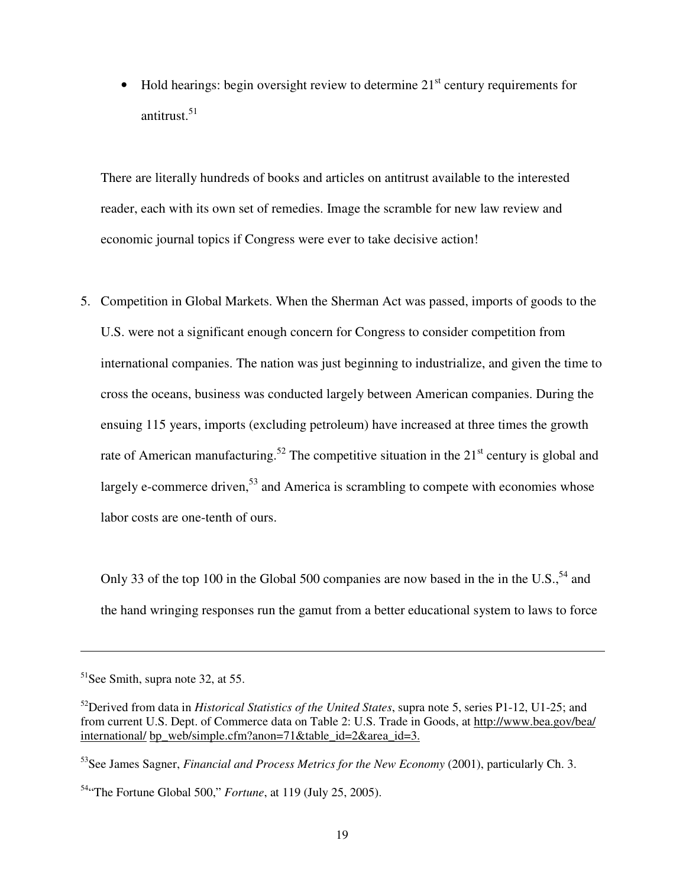• Hold hearings: begin oversight review to determine  $21<sup>st</sup>$  century requirements for antitrust.<sup>51</sup>

There are literally hundreds of books and articles on antitrust available to the interested reader, each with its own set of remedies. Image the scramble for new law review and economic journal topics if Congress were ever to take decisive action!

5. Competition in Global Markets. When the Sherman Act was passed, imports of goods to the U.S. were not a significant enough concern for Congress to consider competition from international companies. The nation was just beginning to industrialize, and given the time to cross the oceans, business was conducted largely between American companies. During the ensuing 115 years, imports (excluding petroleum) have increased at three times the growth rate of American manufacturing.<sup>52</sup> The competitive situation in the  $21<sup>st</sup>$  century is global and largely e-commerce driven,  $53$  and America is scrambling to compete with economies whose labor costs are one-tenth of ours.

Only 33 of the top 100 in the Global 500 companies are now based in the in the U.S.,  $54$  and the hand wringing responses run the gamut from a better educational system to laws to force

<sup>51</sup>See Smith, supra note 32, at 55.

<sup>52</sup>Derived from data in *Historical Statistics of the United States*, supra note 5, series P1-12, U1-25; and from current U.S. Dept. of Commerce data on Table 2: U.S. Trade in Goods, at http://www.bea.gov/bea/ international/ bp\_web/simple.cfm?anon=71&table\_id=2&area\_id=3.

<sup>53</sup>See James Sagner, *Financial and Process Metrics for the New Economy* (2001), particularly Ch. 3.

<sup>54</sup>"The Fortune Global 500," *Fortune*, at 119 (July 25, 2005).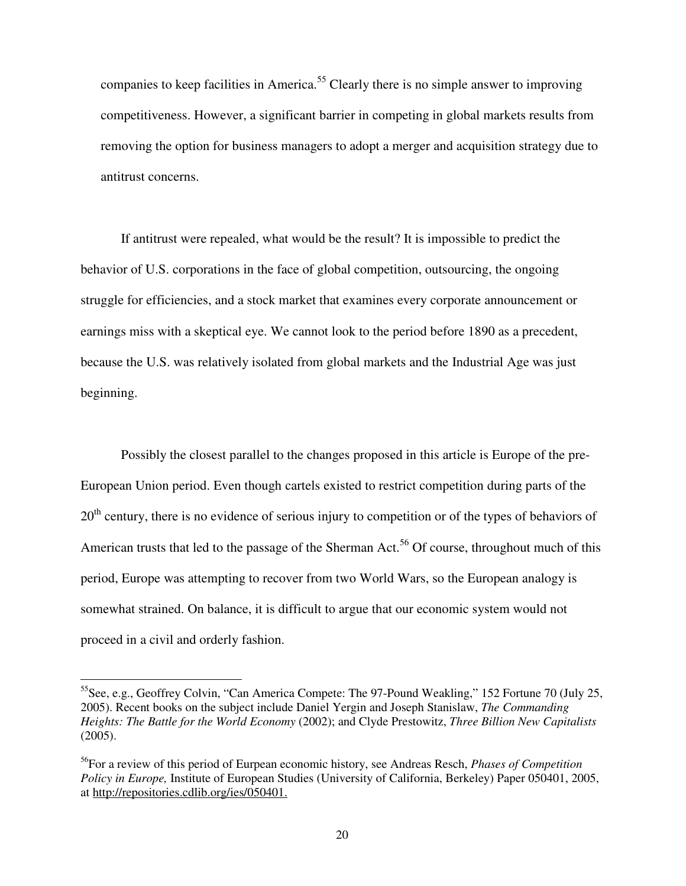companies to keep facilities in America.<sup>55</sup> Clearly there is no simple answer to improving competitiveness. However, a significant barrier in competing in global markets results from removing the option for business managers to adopt a merger and acquisition strategy due to antitrust concerns.

If antitrust were repealed, what would be the result? It is impossible to predict the behavior of U.S. corporations in the face of global competition, outsourcing, the ongoing struggle for efficiencies, and a stock market that examines every corporate announcement or earnings miss with a skeptical eye. We cannot look to the period before 1890 as a precedent, because the U.S. was relatively isolated from global markets and the Industrial Age was just beginning.

Possibly the closest parallel to the changes proposed in this article is Europe of the pre-European Union period. Even though cartels existed to restrict competition during parts of the  $20<sup>th</sup>$  century, there is no evidence of serious injury to competition or of the types of behaviors of American trusts that led to the passage of the Sherman Act.<sup>56</sup> Of course, throughout much of this period, Europe was attempting to recover from two World Wars, so the European analogy is somewhat strained. On balance, it is difficult to argue that our economic system would not proceed in a civil and orderly fashion.

<sup>55</sup>See, e.g., Geoffrey Colvin, "Can America Compete: The 97-Pound Weakling," 152 Fortune 70 (July 25, 2005). Recent books on the subject include Daniel Yergin and Joseph Stanislaw, *The Commanding Heights: The Battle for the World Economy* (2002); and Clyde Prestowitz, *Three Billion New Capitalists* (2005).

<sup>56</sup>For a review of this period of Eurpean economic history, see Andreas Resch, *Phases of Competition Policy in Europe,* Institute of European Studies (University of California, Berkeley) Paper 050401, 2005, at http://repositories.cdlib.org/ies/050401.